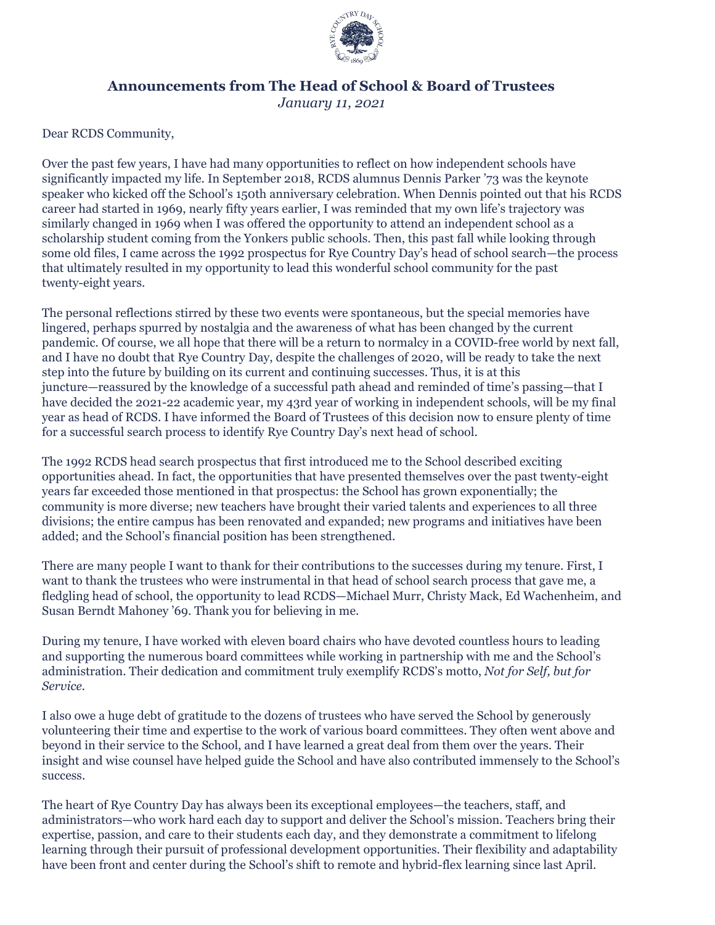

## **Announcements from The Head of School & Board of Trustees**

*January 11, 2021*

Dear RCDS Community,

Over the past few years, I have had many opportunities to reflect on how independent schools have significantly impacted my life. In September 2018, RCDS alumnus Dennis Parker '73 was the keynote speaker who kicked off the School's 150th anniversary celebration. When Dennis pointed out that his RCDS career had started in 1969, nearly fifty years earlier, I was reminded that my own life's trajectory was similarly changed in 1969 when I was offered the opportunity to attend an independent school as a scholarship student coming from the Yonkers public schools. Then, this past fall while looking through some old files, I came across the 1992 prospectus for Rye Country Day's head of school search—the process that ultimately resulted in my opportunity to lead this wonderful school community for the past twenty-eight years.

The personal reflections stirred by these two events were spontaneous, but the special memories have lingered, perhaps spurred by nostalgia and the awareness of what has been changed by the current pandemic. Of course, we all hope that there will be a return to normalcy in a COVID-free world by next fall, and I have no doubt that Rye Country Day, despite the challenges of 2020, will be ready to take the next step into the future by building on its current and continuing successes. Thus, it is at this juncture—reassured by the knowledge of a successful path ahead and reminded of time's passing—that I have decided the 2021-22 academic year, my 43rd year of working in independent schools, will be my final year as head of RCDS. I have informed the Board of Trustees of this decision now to ensure plenty of time for a successful search process to identify Rye Country Day's next head of school.

The 1992 RCDS head search prospectus that first introduced me to the School described exciting opportunities ahead. In fact, the opportunities that have presented themselves over the past twenty-eight years far exceeded those mentioned in that prospectus: the School has grown exponentially; the community is more diverse; new teachers have brought their varied talents and experiences to all three divisions; the entire campus has been renovated and expanded; new programs and initiatives have been added; and the School's financial position has been strengthened.

There are many people I want to thank for their contributions to the successes during my tenure. First, I want to thank the trustees who were instrumental in that head of school search process that gave me, a fledgling head of school, the opportunity to lead RCDS—Michael Murr, Christy Mack, Ed Wachenheim, and Susan Berndt Mahoney '69. Thank you for believing in me.

During my tenure, I have worked with eleven board chairs who have devoted countless hours to leading and supporting the numerous board committees while working in partnership with me and the School's administration. Their dedication and commitment truly exemplify RCDS's motto, *Not for Self, but for Service.*

I also owe a huge debt of gratitude to the dozens of trustees who have served the School by generously volunteering their time and expertise to the work of various board committees. They often went above and beyond in their service to the School, and I have learned a great deal from them over the years. Their insight and wise counsel have helped guide the School and have also contributed immensely to the School's success.

The heart of Rye Country Day has always been its exceptional employees—the teachers, staff, and administrators—who work hard each day to support and deliver the School's mission. Teachers bring their expertise, passion, and care to their students each day, and they demonstrate a commitment to lifelong learning through their pursuit of professional development opportunities. Their flexibility and adaptability have been front and center during the School's shift to remote and hybrid-flex learning since last April.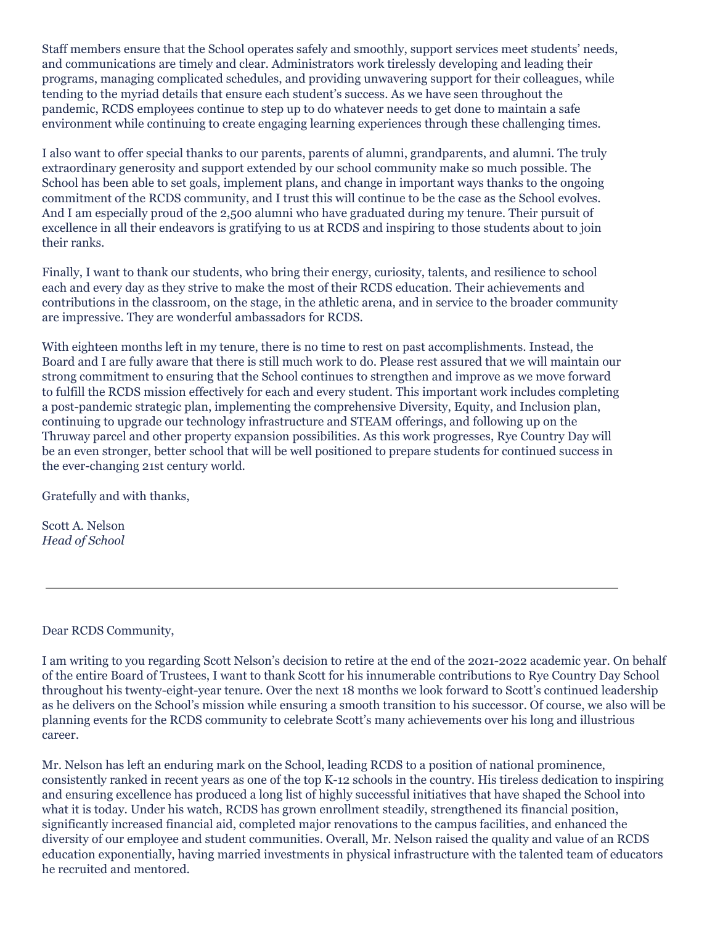Staff members ensure that the School operates safely and smoothly, support services meet students' needs, and communications are timely and clear. Administrators work tirelessly developing and leading their programs, managing complicated schedules, and providing unwavering support for their colleagues, while tending to the myriad details that ensure each student's success. As we have seen throughout the pandemic, RCDS employees continue to step up to do whatever needs to get done to maintain a safe environment while continuing to create engaging learning experiences through these challenging times.

I also want to offer special thanks to our parents, parents of alumni, grandparents, and alumni. The truly extraordinary generosity and support extended by our school community make so much possible. The School has been able to set goals, implement plans, and change in important ways thanks to the ongoing commitment of the RCDS community, and I trust this will continue to be the case as the School evolves. And I am especially proud of the 2,500 alumni who have graduated during my tenure. Their pursuit of excellence in all their endeavors is gratifying to us at RCDS and inspiring to those students about to join their ranks.

Finally, I want to thank our students, who bring their energy, curiosity, talents, and resilience to school each and every day as they strive to make the most of their RCDS education. Their achievements and contributions in the classroom, on the stage, in the athletic arena, and in service to the broader community are impressive. They are wonderful ambassadors for RCDS.

With eighteen months left in my tenure, there is no time to rest on past accomplishments. Instead, the Board and I are fully aware that there is still much work to do. Please rest assured that we will maintain our strong commitment to ensuring that the School continues to strengthen and improve as we move forward to fulfill the RCDS mission effectively for each and every student. This important work includes completing a post-pandemic strategic plan, implementing the comprehensive Diversity, Equity, and Inclusion plan, continuing to upgrade our technology infrastructure and STEAM offerings, and following up on the Thruway parcel and other property expansion possibilities. As this work progresses, Rye Country Day will be an even stronger, better school that will be well positioned to prepare students for continued success in the ever-changing 21st century world.

Gratefully and with thanks,

Scott A. Nelson *Head of School*

Dear RCDS Community,

I am writing to you regarding Scott Nelson's decision to retire at the end of the 2021-2022 academic year. On behalf of the entire Board of Trustees, I want to thank Scott for his innumerable contributions to Rye Country Day School throughout his twenty-eight-year tenure. Over the next 18 months we look forward to Scott's continued leadership as he delivers on the School's mission while ensuring a smooth transition to his successor. Of course, we also will be planning events for the RCDS community to celebrate Scott's many achievements over his long and illustrious career.

Mr. Nelson has left an enduring mark on the School, leading RCDS to a position of national prominence, consistently ranked in recent years as one of the top K-12 schools in the country. His tireless dedication to inspiring and ensuring excellence has produced a long list of highly successful initiatives that have shaped the School into what it is today. Under his watch, RCDS has grown enrollment steadily, strengthened its financial position, significantly increased financial aid, completed major renovations to the campus facilities, and enhanced the diversity of our employee and student communities. Overall, Mr. Nelson raised the quality and value of an RCDS education exponentially, having married investments in physical infrastructure with the talented team of educators he recruited and mentored.